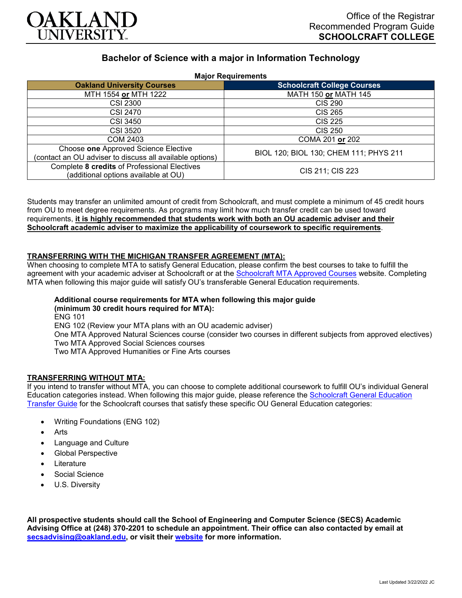

# **Bachelor of Science with a major in Information Technology**

**Major Requirements**

| major noquiromonto                                                                               |                                        |
|--------------------------------------------------------------------------------------------------|----------------------------------------|
| <b>Oakland University Courses</b>                                                                | <b>Schoolcraft College Courses</b>     |
| MTH 1554 or MTH 1222                                                                             | MATH 150 or MATH 145                   |
| <b>CSI 2300</b>                                                                                  | <b>CIS 290</b>                         |
| CSI 2470                                                                                         | <b>CIS 265</b>                         |
| <b>CSI 3450</b>                                                                                  | <b>CIS 225</b>                         |
| CSI 3520                                                                                         | <b>CIS 250</b>                         |
| COM 2403                                                                                         | COMA 201 or 202                        |
| Choose one Approved Science Elective<br>(contact an OU adviser to discuss all available options) | BIOL 120; BIOL 130; CHEM 111; PHYS 211 |
| Complete 8 credits of Professional Electives<br>(additional options available at OU)             | CIS 211; CIS 223                       |

Students may transfer an unlimited amount of credit from Schoolcraft, and must complete a minimum of 45 credit hours from OU to meet degree requirements. As programs may limit how much transfer credit can be used toward requirements, **it is highly recommended that students work with both an OU academic adviser and their Schoolcraft academic adviser to maximize the applicability of coursework to specific requirements**.

#### **TRANSFERRING WITH THE MICHIGAN TRANSFER AGREEMENT (MTA):**

When choosing to complete MTA to satisfy General Education, please confirm the best courses to take to fulfill the agreement with your academic adviser at Schoolcraft or at the **Schoolcraft MTA Approved Courses** website. Completing MTA when following this major guide will satisfy OU's transferable General Education requirements.

## **Additional course requirements for MTA when following this major guide**

**(minimum 30 credit hours required for MTA):** ENG 101 ENG 102 (Review your MTA plans with an OU academic adviser) One MTA Approved Natural Sciences course (consider two courses in different subjects from approved electives) Two MTA Approved Social Sciences courses Two MTA Approved Humanities or Fine Arts courses

### **TRANSFERRING WITHOUT MTA:**

If you intend to transfer without MTA, you can choose to complete additional coursework to fulfill OU's individual General Education categories instead. When following this major guide, please reference the [Schoolcraft General Education](https://www.oakland.edu/Assets/Oakland/program-guides/schoolcraft-college/university-general-education-requirements/Schoolcraft%20Gen%20Ed.pdf)  [Transfer Guide](https://www.oakland.edu/Assets/Oakland/program-guides/schoolcraft-college/university-general-education-requirements/Schoolcraft%20Gen%20Ed.pdf) for the Schoolcraft courses that satisfy these specific OU General Education categories:

- Writing Foundations (ENG 102)
- **Arts**
- Language and Culture
- Global Perspective
- **Literature**
- Social Science
- U.S. Diversity

**All prospective students should call the School of Engineering and Computer Science (SECS) Academic Advising Office at (248) 370-2201 to schedule an appointment. Their office can also contacted by email at [secsadvising@oakland.edu,](mailto:secsadvising@oakland.edu) or visit their [website](https://wwwp.oakland.edu/secs/advising/) for more information.**